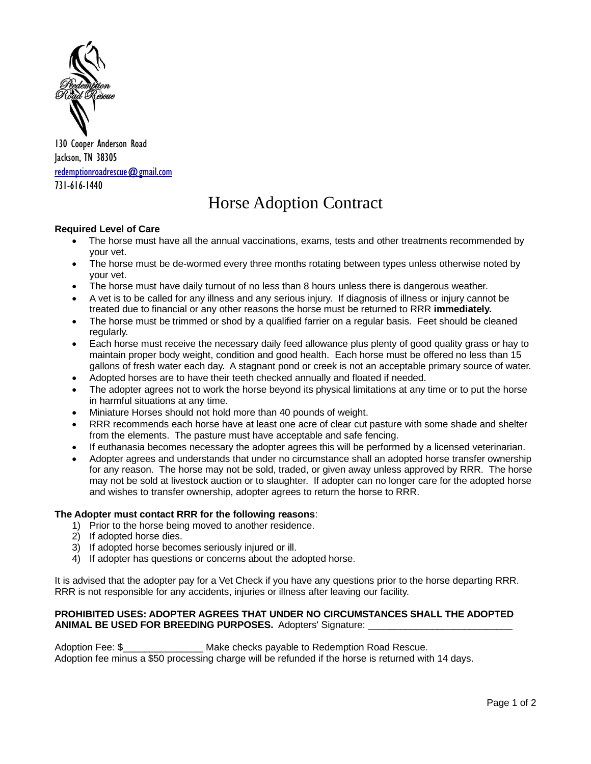

130 Cooper Anderson Road Jackson, TN 38305 [redemptionroadrescue@gmail.com](mailto:redemptionroadrescue@gmail.com) 731-616-1440

# Horse Adoption Contract

## **Required Level of Care**

- The horse must have all the annual vaccinations, exams, tests and other treatments recommended by your vet.
- The horse must be de-wormed every three months rotating between types unless otherwise noted by your vet.
- The horse must have daily turnout of no less than 8 hours unless there is dangerous weather.
- A vet is to be called for any illness and any serious injury. If diagnosis of illness or injury cannot be treated due to financial or any other reasons the horse must be returned to RRR **immediately.**
- The horse must be trimmed or shod by a qualified farrier on a regular basis. Feet should be cleaned regularly.
- Each horse must receive the necessary daily feed allowance plus plenty of good quality grass or hay to maintain proper body weight, condition and good health. Each horse must be offered no less than 15 gallons of fresh water each day. A stagnant pond or creek is not an acceptable primary source of water.
- Adopted horses are to have their teeth checked annually and floated if needed.
- The adopter agrees not to work the horse beyond its physical limitations at any time or to put the horse in harmful situations at any time.
- Miniature Horses should not hold more than 40 pounds of weight.
- RRR recommends each horse have at least one acre of clear cut pasture with some shade and shelter from the elements. The pasture must have acceptable and safe fencing.
- If euthanasia becomes necessary the adopter agrees this will be performed by a licensed veterinarian.
- Adopter agrees and understands that under no circumstance shall an adopted horse transfer ownership for any reason. The horse may not be sold, traded, or given away unless approved by RRR. The horse may not be sold at livestock auction or to slaughter. If adopter can no longer care for the adopted horse and wishes to transfer ownership, adopter agrees to return the horse to RRR.

#### **The Adopter must contact RRR for the following reasons**:

- 1) Prior to the horse being moved to another residence.
- 2) If adopted horse dies.
- 3) If adopted horse becomes seriously injured or ill.
- 4) If adopter has questions or concerns about the adopted horse.

It is advised that the adopter pay for a Vet Check if you have any questions prior to the horse departing RRR. RRR is not responsible for any accidents, injuries or illness after leaving our facility.

### **PROHIBITED USES: ADOPTER AGREES THAT UNDER NO CIRCUMSTANCES SHALL THE ADOPTED ANIMAL BE USED FOR BREEDING PURPOSES.** Adopters' Signature: \_\_\_

Adoption Fee: \$\_\_\_\_\_\_\_\_\_\_\_\_\_\_\_ Make checks payable to Redemption Road Rescue. Adoption fee minus a \$50 processing charge will be refunded if the horse is returned with 14 days.